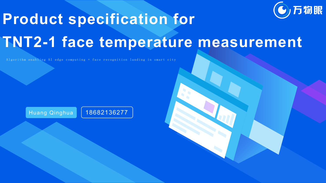

# **Product specification for C**/b/m/m

## **TNT2-1 face temperature measurement**

A lgorithm enabling AI edge computing + face recognition landing in smart city

Huang Qinghua | 18682136277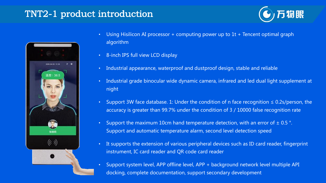#### TNT2-1 product introduction



- Using Hisilicon AI processor + computing power up to 1t + Tencent optimal graph algorithm
- 8-inch IPS full view LCD display
- Industrial appearance, waterproof and dustproof design, stable and reliable
- Industrial grade binocular wide dynamic camera, infrared and led dual light supplement at night
- Support 3W face database. 1: Under the condition of n face recognition ≤ 0.2s/person, the accuracy is greater than 99.7% under the condition of 3 / 10000 false recognition rate
- Support the maximum 10cm hand temperature detection, with an error of  $\pm$  0.5 °. Support and automatic temperature alarm, second level detection speed
- It supports the extension of various peripheral devices such as ID card reader, fingerprint instrument, IC card reader and QR code card reader
- Support system level, APP offline level, APP + background network level multiple API docking, complete documentation, support secondary development

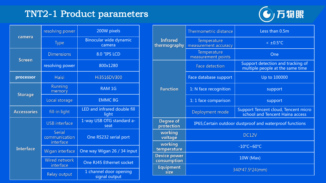### TNT2-1 Product parameters



|                    | resolving power                          | 200W pixels                             |                                                              |
|--------------------|------------------------------------------|-----------------------------------------|--------------------------------------------------------------|
| camera             | <b>Type</b>                              | Binocular wide dynamic<br>camera        | <b>Infrared</b><br>thermography                              |
| <b>Screen</b>      | <b>Dimensions</b><br><b>8.0 "IPS LCD</b> |                                         |                                                              |
|                    | resolving power                          | 800x1280                                |                                                              |
| processor          | <b>Haisi</b>                             | Hi3516DV300                             |                                                              |
|                    | Running<br>memory                        | <b>RAM 1G</b>                           | <b>Function</b>                                              |
| <b>Storage</b>     | Local storage                            | <b>EMMC 8G</b>                          |                                                              |
| <b>Accessories</b> | fill-in light                            | LED and infrared double fill<br>light   |                                                              |
|                    | <b>USB</b> interface                     | 1-way USB OTG standard a-<br>seat       | Degree of<br>protection                                      |
|                    | Serial<br>communication<br>interface     | One RS232 serial port                   | working<br>voltage                                           |
| <b>Interface</b>   | Wigan interface                          | One way Wigan 26 / 34 input             | working<br>temperature<br><b>Device power</b><br>consumption |
|                    | Wired network                            | One RJ45 Ethernet socket                |                                                              |
|                    | interface<br>Relay output                | 1 channel door opening<br>signal output | <b>Equipment</b><br>size                                     |

| <b>Infrared</b><br>thermography    | Thermometric distance                                    | Less than 0.5m                                                          |  |
|------------------------------------|----------------------------------------------------------|-------------------------------------------------------------------------|--|
|                                    | Temperature<br>measurement accuracy                      | $< \pm 0.5^{\circ}C$                                                    |  |
|                                    | Temperature<br>measurement points                        | One                                                                     |  |
| <b>Function</b>                    | <b>Face detection</b>                                    | Support detection and tracking of<br>multiple people at the same time   |  |
|                                    | Face database support                                    | Up to 100000                                                            |  |
|                                    | 1: N face recognition                                    | support                                                                 |  |
|                                    | 1: 1 face comparison                                     | support                                                                 |  |
|                                    | Deployment mode                                          | Support Tencent cloud, Tencent micro<br>school and Tencent Haina access |  |
| Degree of<br>protection            | IP65, Certain outdoor dustproof and waterproof functions |                                                                         |  |
| working<br>voltage                 | DC12V                                                    |                                                                         |  |
| working<br>temperature             | $-10^{\circ}$ C~60°C                                     |                                                                         |  |
| <b>Device power</b><br>consumption | 10W (Max)                                                |                                                                         |  |
| <b>Equipment</b><br>size           | 340*47.5*24(mm)                                          |                                                                         |  |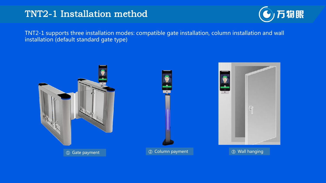#### TNT2-1 Installation method



TNT2-1 supports three installation modes: compatible gate installation, column installation and wall installation (default standard gate type)